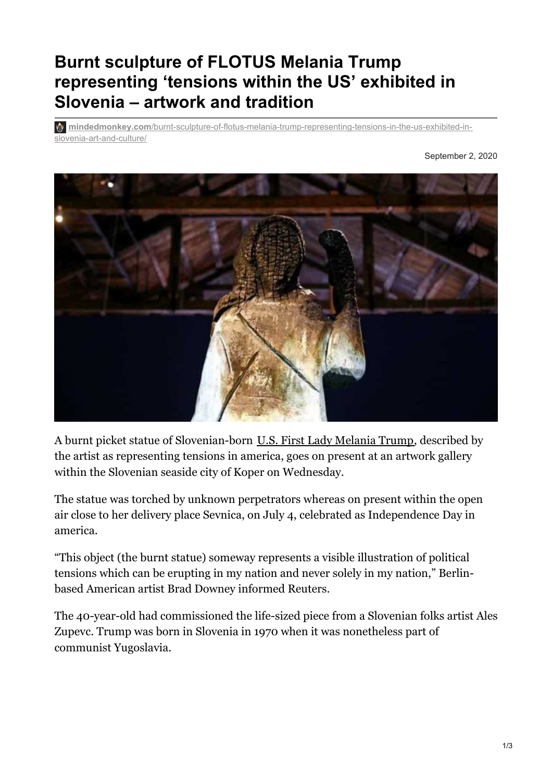## **Burnt sculpture of FLOTUS Melania Trump representing 'tensions within the US' exhibited in Slovenia – artwork and tradition**

**w** mindedmonkey.com[/burnt-sculpture-of-flotus-melania-trump-representing-tensions-in-the-us-exhibited-in](https://mindedmonkey.com/burnt-sculpture-of-flotus-melania-trump-representing-tensions-in-the-us-exhibited-in-slovenia-art-and-culture/)slovenia-art-and-culture/

September 2, 2020



A burnt picket statue of Slovenian-born U.S. First Lady [Melania](https://www.hindustantimes.com/fashion-and-trends/melania-trump-or-adolf-hitler-diet-prada-calls-flotus-out-for-flaunting-fascist-fashion-at-republican-national-convention/story-kEDCziTYvxBzNGuAImTrkM.html) Trump, described by the artist as representing tensions in america, goes on present at an artwork gallery within the Slovenian seaside city of Koper on Wednesday.

The statue was torched by unknown perpetrators whereas on present within the open air close to her delivery place Sevnica, on July 4, celebrated as Independence Day in america.

"This object (the burnt statue) someway represents a visible illustration of political tensions which can be erupting in my nation and never solely in my nation," Berlinbased American artist Brad Downey informed Reuters.

The 40-year-old had commissioned the life-sized piece from a Slovenian folks artist Ales Zupevc. Trump was born in Slovenia in 1970 when it was nonetheless part of communist Yugoslavia.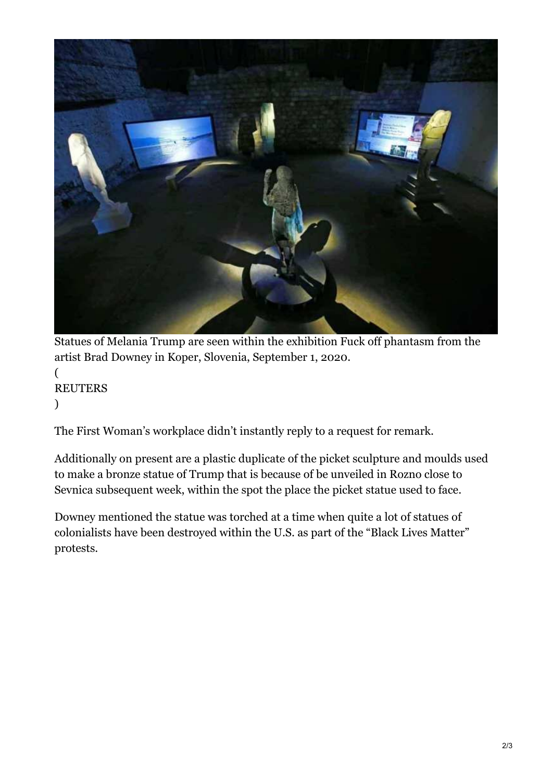

Statues of Melania Trump are seen within the exhibition Fuck off phantasm from the artist Brad Downey in Koper, Slovenia, September 1, 2020.

( **REUTERS** )

The First Woman's workplace didn't instantly reply to a request for remark.

Additionally on present are a plastic duplicate of the picket sculpture and moulds used to make a bronze statue of Trump that is because of be unveiled in Rozno close to Sevnica subsequent week, within the spot the place the picket statue used to face.

Downey mentioned the statue was torched at a time when quite a lot of statues of colonialists have been destroyed within the U.S. as part of the "Black Lives Matter" protests.